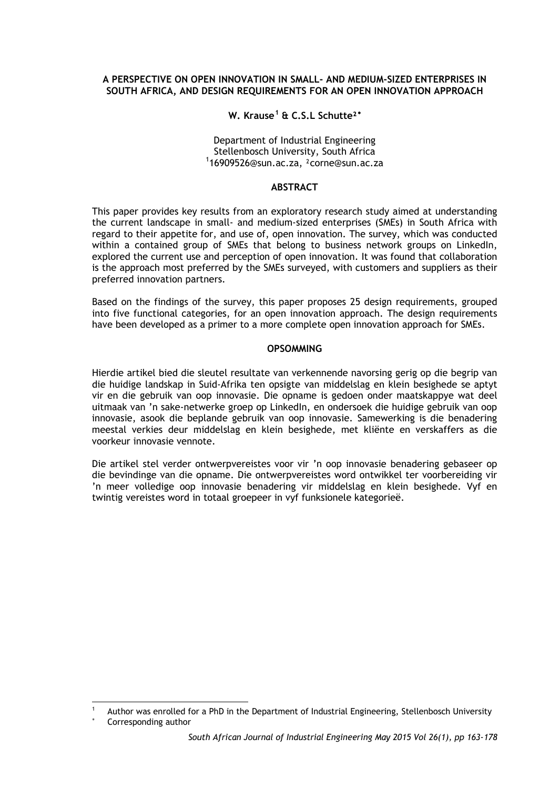## **A PERSPECTIVE ON OPEN INNOVATION IN SMALL- AND MEDIUM-SIZED ENTERPRISES IN SOUTH AFRICA, AND DESIGN REQUIREMENTS FOR AN OPEN INNOVATION APPROACH**

# **W. Krause[1](#page-0-0) & C.S.L Schutte²**[∗](#page-0-1)

Department of Industrial Engineering<br>Stellenbosch University, South Africa Stellenbosch University, South Africa <sup>1</sup> 16909526@sun.ac.za, ²corne@sun.ac.za

## **ABSTRACT**

This paper provides key results from an exploratory research study aimed at understanding the current landscape in small- and medium-sized enterprises (SMEs) in South Africa with regard to their appetite for, and use of, open innovation. The survey, which was conducted within a contained group of SMEs that belong to business network groups on LinkedIn, explored the current use and perception of open innovation. It was found that collaboration is the approach most preferred by the SMEs surveyed, with customers and suppliers as their preferred innovation partners.

Based on the findings of the survey, this paper proposes 25 design requirements, grouped into five functional categories, for an open innovation approach. The design requirements have been developed as a primer to a more complete open innovation approach for SMEs.

## **OPSOMMING**

Hierdie artikel bied die sleutel resultate van verkennende navorsing gerig op die begrip van die huidige landskap in Suid-Afrika ten opsigte van middelslag en klein besighede se aptyt vir en die gebruik van oop innovasie. Die opname is gedoen onder maatskappye wat deel uitmaak van 'n sake-netwerke groep op LinkedIn, en ondersoek die huidige gebruik van oop innovasie, asook die beplande gebruik van oop innovasie. Samewerking is die benadering meestal verkies deur middelslag en klein besighede, met kliënte en verskaffers as die voorkeur innovasie vennote.

Die artikel stel verder ontwerpvereistes voor vir 'n oop innovasie benadering gebaseer op die bevindinge van die opname. Die ontwerpvereistes word ontwikkel ter voorbereiding vir 'n meer volledige oop innovasie benadering vir middelslag en klein besighede. Vyf en twintig vereistes word in totaal groepeer in vyf funksionele kategorieë.

-

<span id="page-0-0"></span>Author was enrolled for a PhD in the Department of Industrial Engineering, Stellenbosch University

<span id="page-0-1"></span>Corresponding author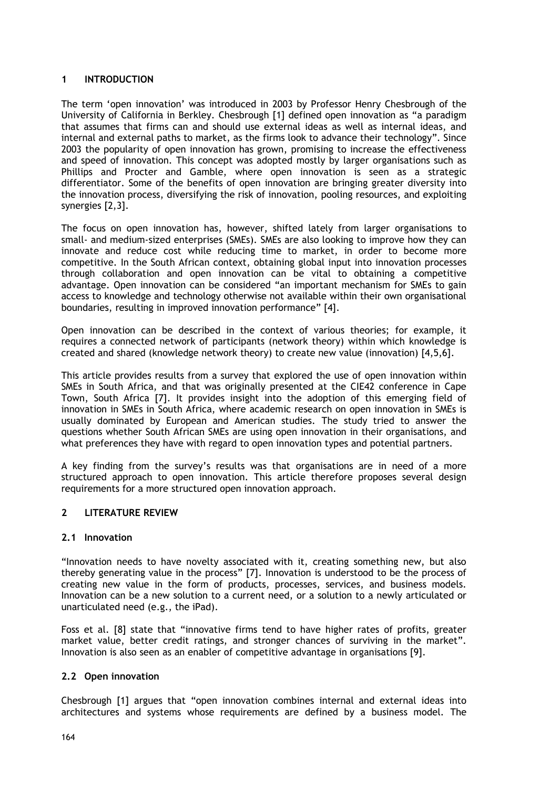## **1 INTRODUCTION**

The term 'open innovation' was introduced in 2003 by Professor Henry Chesbrough of the University of California in Berkley. Chesbrough [1] defined open innovation as "a paradigm that assumes that firms can and should use external ideas as well as internal ideas, and internal and external paths to market, as the firms look to advance their technology". Since 2003 the popularity of open innovation has grown, promising to increase the effectiveness and speed of innovation. This concept was adopted mostly by larger organisations such as Phillips and Procter and Gamble, where open innovation is seen as a strategic differentiator. Some of the benefits of open innovation are bringing greater diversity into the innovation process, diversifying the risk of innovation, pooling resources, and exploiting synergies [2,3].

The focus on open innovation has, however, shifted lately from larger organisations to small- and medium-sized enterprises (SMEs). SMEs are also looking to improve how they can innovate and reduce cost while reducing time to market, in order to become more competitive. In the South African context, obtaining global input into innovation processes through collaboration and open innovation can be vital to obtaining a competitive advantage. Open innovation can be considered "an important mechanism for SMEs to gain access to knowledge and technology otherwise not available within their own organisational boundaries, resulting in improved innovation performance" [4].

Open innovation can be described in the context of various theories; for example, it requires a connected network of participants (network theory) within which knowledge is created and shared (knowledge network theory) to create new value (innovation) [4,5,6].

This article provides results from a survey that explored the use of open innovation within SMEs in South Africa, and that was originally presented at the CIE42 conference in Cape Town, South Africa [7]. It provides insight into the adoption of this emerging field of innovation in SMEs in South Africa, where academic research on open innovation in SMEs is usually dominated by European and American studies. The study tried to answer the questions whether South African SMEs are using open innovation in their organisations, and what preferences they have with regard to open innovation types and potential partners.

A key finding from the survey's results was that organisations are in need of a more structured approach to open innovation. This article therefore proposes several design requirements for a more structured open innovation approach.

### **2 LITERATURE REVIEW**

### **2.1 Innovation**

"Innovation needs to have novelty associated with it, creating something new, but also thereby generating value in the process" [7]. Innovation is understood to be the process of creating new value in the form of products, processes, services, and business models. Innovation can be a new solution to a current need, or a solution to a newly articulated or unarticulated need (e.g., the iPad).

Foss et al. [8] state that "innovative firms tend to have higher rates of profits, greater market value, better credit ratings, and stronger chances of surviving in the market". Innovation is also seen as an enabler of competitive advantage in organisations [9].

### **2.2 Open innovation**

Chesbrough [1] argues that "open innovation combines internal and external ideas into architectures and systems whose requirements are defined by a business model. The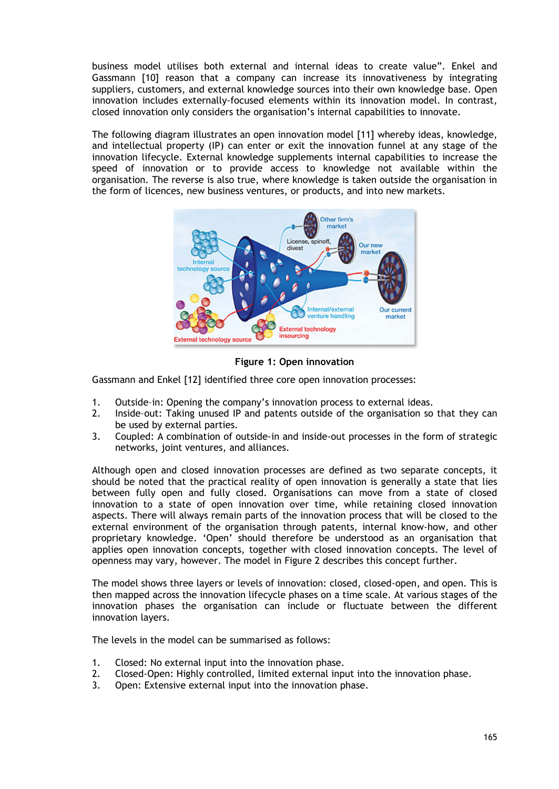business model utilises both external and internal ideas to create value". Enkel and Gassmann [10] reason that a company can increase its innovativeness by integrating suppliers, customers, and external knowledge sources into their own knowledge base. Open innovation includes externally-focused elements within its innovation model. In contrast, closed innovation only considers the organisation's internal capabilities to innovate.

The following diagram illustrates an open innovation model [11] whereby ideas, knowledge, and intellectual property (IP) can enter or exit the innovation funnel at any stage of the innovation lifecycle. External knowledge supplements internal capabilities to increase the speed of innovation or to provide access to knowledge not available within the organisation. The reverse is also true, where knowledge is taken outside the organisation in the form of licences, new business ventures, or products, and into new markets.



**Figure 1: Open innovation**

Gassmann and Enkel [12] identified three core open innovation processes:

- 1. Outside–in: Opening the company's innovation process to external ideas.
- 2. Inside–out: Taking unused IP and patents outside of the organisation so that they can be used by external parties.
- 3. Coupled: A combination of outside-in and inside-out processes in the form of strategic networks, joint ventures, and alliances.

Although open and closed innovation processes are defined as two separate concepts, it should be noted that the practical reality of open innovation is generally a state that lies between fully open and fully closed. Organisations can move from a state of closed innovation to a state of open innovation over time, while retaining closed innovation aspects. There will always remain parts of the innovation process that will be closed to the external environment of the organisation through patents, internal know-how, and other proprietary knowledge. 'Open' should therefore be understood as an organisation that applies open innovation concepts, together with closed innovation concepts. The level of openness may vary, however. The model in Figure 2 describes this concept further.

The model shows three layers or levels of innovation: closed, closed-open, and open. This is then mapped across the innovation lifecycle phases on a time scale. At various stages of the innovation phases the organisation can include or fluctuate between the different innovation layers.

The levels in the model can be summarised as follows:

- 1. Closed: No external input into the innovation phase.<br>2. Closed-Open: Highly controlled. limited external inpi
- 2. Closed-Open: Highly controlled, limited external input into the innovation phase.<br>3. Open: Extensive external input into the innovation phase.
- Open: Extensive external input into the innovation phase.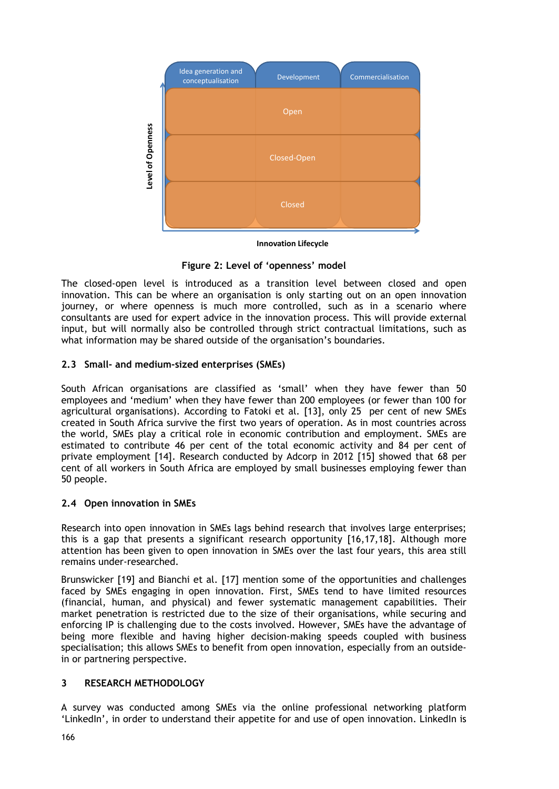

**Innovation Lifecycle**

**Figure 2: Level of 'openness' model**

The closed-open level is introduced as a transition level between closed and open innovation. This can be where an organisation is only starting out on an open innovation journey, or where openness is much more controlled, such as in a scenario where consultants are used for expert advice in the innovation process. This will provide external input, but will normally also be controlled through strict contractual limitations, such as what information may be shared outside of the organisation's boundaries.

# **2.3 Small- and medium-sized enterprises (SMEs)**

South African organisations are classified as 'small' when they have fewer than 50 employees and 'medium' when they have fewer than 200 employees (or fewer than 100 for agricultural organisations). According to Fatoki et al. [13], only 25 per cent of new SMEs created in South Africa survive the first two years of operation. As in most countries across the world, SMEs play a critical role in economic contribution and employment. SMEs are estimated to contribute 46 per cent of the total economic activity and 84 per cent of private employment [14]. Research conducted by Adcorp in 2012 [15] showed that 68 per cent of all workers in South Africa are employed by small businesses employing fewer than 50 people.

# **2.4 Open innovation in SMEs**

Research into open innovation in SMEs lags behind research that involves large enterprises; this is a gap that presents a significant research opportunity [16,17,18]. Although more attention has been given to open innovation in SMEs over the last four years, this area still remains under-researched.

Brunswicker [19] and Bianchi et al. [17] mention some of the opportunities and challenges faced by SMEs engaging in open innovation. First, SMEs tend to have limited resources (financial, human, and physical) and fewer systematic management capabilities. Their market penetration is restricted due to the size of their organisations, while securing and enforcing IP is challenging due to the costs involved. However, SMEs have the advantage of being more flexible and having higher decision-making speeds coupled with business specialisation; this allows SMEs to benefit from open innovation, especially from an outsidein or partnering perspective.

# **3 RESEARCH METHODOLOGY**

A survey was conducted among SMEs via the online professional networking platform 'LinkedIn', in order to understand their appetite for and use of open innovation. LinkedIn is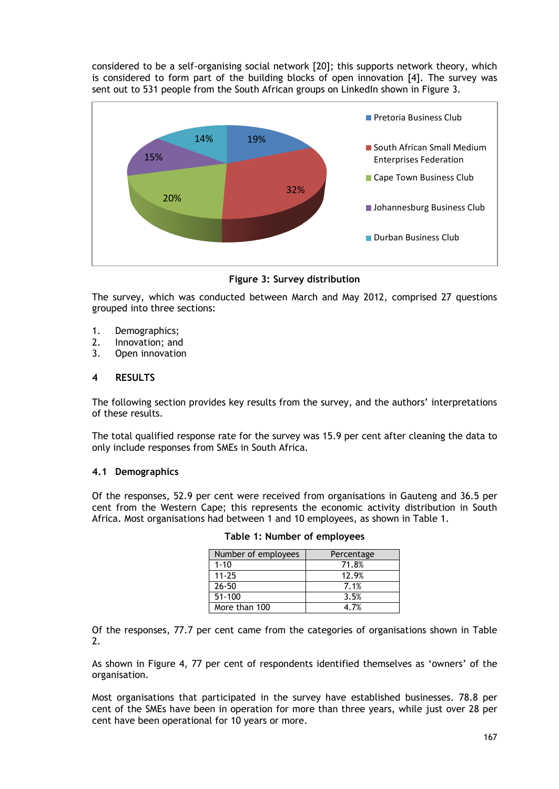considered to be a self-organising social network [20]; this supports network theory, which is considered to form part of the building blocks of open innovation [4]. The survey was sent out to 531 people from the South African groups on LinkedIn shown in Figure 3.



## **Figure 3: Survey distribution**

The survey, which was conducted between March and May 2012, comprised 27 questions grouped into three sections:

- 1. Demographics;
- 2. Innovation; and
- 3. Open innovation

### **4 RESULTS**

The following section provides key results from the survey, and the authors' interpretations of these results.

The total qualified response rate for the survey was 15.9 per cent after cleaning the data to only include responses from SMEs in South Africa.

### **4.1 Demographics**

Of the responses, 52.9 per cent were received from organisations in Gauteng and 36.5 per cent from the Western Cape; this represents the economic activity distribution in South Africa. Most organisations had between 1 and 10 employees, as shown in Table 1.

| Number of employees | Percentage |
|---------------------|------------|
| $1 - 10$            | 71.8%      |
| $11 - 25$           | 12.9%      |
| $26 - 50$           | 7.1%       |
| $51 - 100$          | 3.5%       |
| More than 100       | 4.7%       |

Of the responses, 77.7 per cent came from the categories of organisations shown in Table 2.

As shown in Figure 4, 77 per cent of respondents identified themselves as 'owners' of the organisation.

Most organisations that participated in the survey have established businesses. 78.8 per cent of the SMEs have been in operation for more than three years, while just over 28 per cent have been operational for 10 years or more.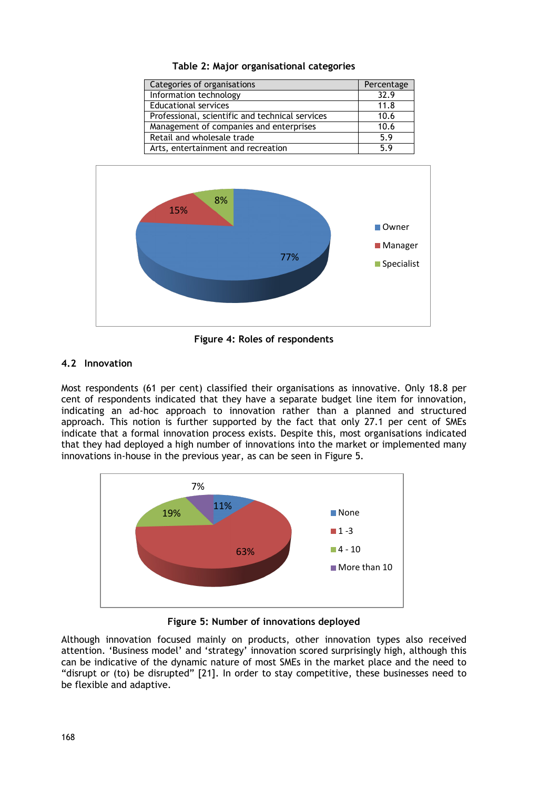**Table 2: Major organisational categories**

| Categories of organisations                     | Percentage |
|-------------------------------------------------|------------|
| Information technology                          | 32.9       |
| <b>Educational services</b>                     | 11.8       |
| Professional, scientific and technical services | 10.6       |
| Management of companies and enterprises         | 10.6       |
| Retail and wholesale trade                      | 5.9        |
| Arts, entertainment and recreation              | 59         |



**Figure 4: Roles of respondents**

## **4.2 Innovation**

Most respondents (61 per cent) classified their organisations as innovative. Only 18.8 per cent of respondents indicated that they have a separate budget line item for innovation, indicating an ad-hoc approach to innovation rather than a planned and structured approach. This notion is further supported by the fact that only 27.1 per cent of SMEs indicate that a formal innovation process exists. Despite this, most organisations indicated that they had deployed a high number of innovations into the market or implemented many innovations in-house in the previous year, as can be seen in Figure 5.



**Figure 5: Number of innovations deployed**

Although innovation focused mainly on products, other innovation types also received attention. 'Business model' and 'strategy' innovation scored surprisingly high, although this can be indicative of the dynamic nature of most SMEs in the market place and the need to "disrupt or (to) be disrupted" [21]. In order to stay competitive, these businesses need to be flexible and adaptive.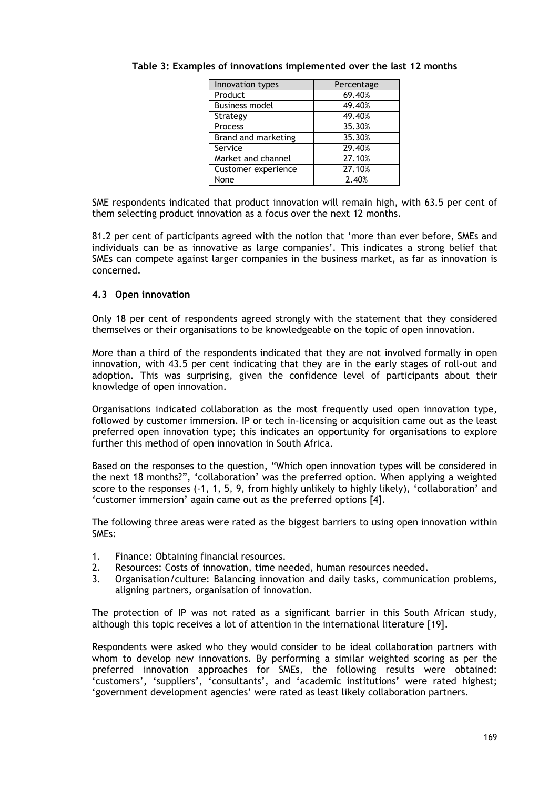| Innovation types      | Percentage |
|-----------------------|------------|
| Product               | 69.40%     |
| <b>Business model</b> | 49.40%     |
| Strategy              | 49.40%     |
| Process               | 35.30%     |
| Brand and marketing   | 35.30%     |
| Service               | 29.40%     |
| Market and channel    | 27.10%     |
| Customer experience   | 27.10%     |
| None                  | 2.40%      |

# **Table 3: Examples of innovations implemented over the last 12 months**

SME respondents indicated that product innovation will remain high, with 63.5 per cent of them selecting product innovation as a focus over the next 12 months.

81.2 per cent of participants agreed with the notion that 'more than ever before, SMEs and individuals can be as innovative as large companies'. This indicates a strong belief that SMEs can compete against larger companies in the business market, as far as innovation is concerned.

### **4.3 Open innovation**

Only 18 per cent of respondents agreed strongly with the statement that they considered themselves or their organisations to be knowledgeable on the topic of open innovation.

More than a third of the respondents indicated that they are not involved formally in open innovation, with 43.5 per cent indicating that they are in the early stages of roll-out and adoption. This was surprising, given the confidence level of participants about their knowledge of open innovation.

Organisations indicated collaboration as the most frequently used open innovation type, followed by customer immersion. IP or tech in-licensing or acquisition came out as the least preferred open innovation type; this indicates an opportunity for organisations to explore further this method of open innovation in South Africa.

Based on the responses to the question, "Which open innovation types will be considered in the next 18 months?", 'collaboration' was the preferred option. When applying a weighted score to the responses (-1, 1, 5, 9, from highly unlikely to highly likely), 'collaboration' and 'customer immersion' again came out as the preferred options [4].

The following three areas were rated as the biggest barriers to using open innovation within SMEs:

- 1. Finance: Obtaining financial resources.
- 2. Resources: Costs of innovation, time needed, human resources needed.
- 3. Organisation/culture: Balancing innovation and daily tasks, communication problems, aligning partners, organisation of innovation.

The protection of IP was not rated as a significant barrier in this South African study, although this topic receives a lot of attention in the international literature [19].

Respondents were asked who they would consider to be ideal collaboration partners with whom to develop new innovations. By performing a similar weighted scoring as per the preferred innovation approaches for SMEs, the following results were obtained: 'customers', 'suppliers', 'consultants', and 'academic institutions' were rated highest; 'government development agencies' were rated as least likely collaboration partners.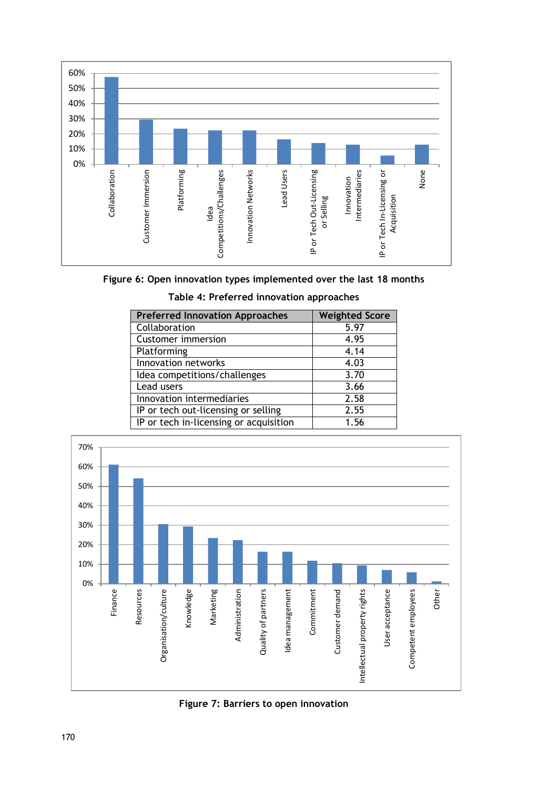

**Figure 6: Open innovation types implemented over the last 18 months**

| Table 4: Preferred innovation approaches |  |  |
|------------------------------------------|--|--|
|------------------------------------------|--|--|

| <b>Preferred Innovation Approaches</b> | <b>Weighted Score</b> |
|----------------------------------------|-----------------------|
| Collaboration                          | 5.97                  |
| <b>Customer immersion</b>              | 4.95                  |
| Platforming                            | 4.14                  |
| Innovation networks                    | 4.03                  |
| Idea competitions/challenges           | 3.70                  |
| Lead users                             | 3.66                  |
| Innovation intermediaries              | 2.58                  |
| IP or tech out-licensing or selling    | 2.55                  |
| IP or tech in-licensing or acquisition | 1.56                  |



**Figure 7: Barriers to open innovation**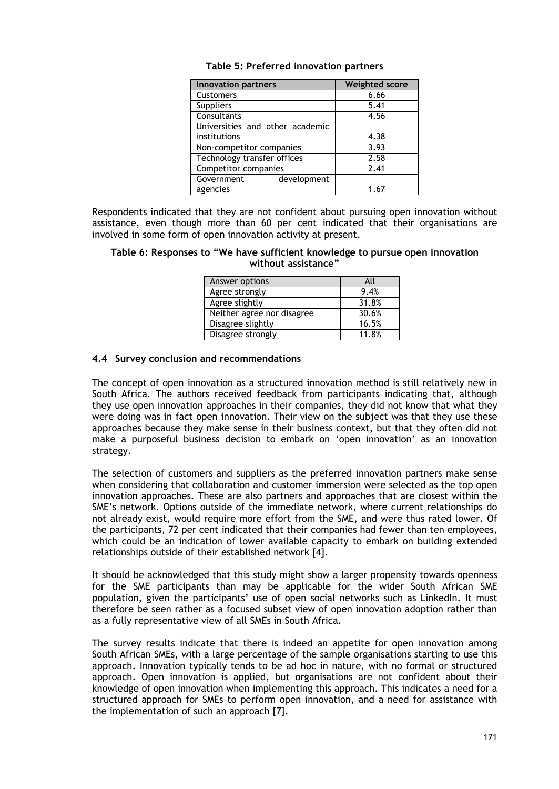| <b>Innovation partners</b>      | <b>Weighted score</b> |
|---------------------------------|-----------------------|
| Customers                       | 6.66                  |
| <b>Suppliers</b>                | 5.41                  |
| Consultants                     | 4.56                  |
| Universities and other academic |                       |
| institutions                    | 4.38                  |
| Non-competitor companies        | 3.93                  |
| Technology transfer offices     | 2.58                  |
| Competitor companies            | 2.41                  |
| Government<br>development       |                       |
| agencies                        | 1.67                  |

|  |  |  | Table 5: Preferred innovation partners |  |
|--|--|--|----------------------------------------|--|
|--|--|--|----------------------------------------|--|

Respondents indicated that they are not confident about pursuing open innovation without assistance, even though more than 60 per cent indicated that their organisations are involved in some form of open innovation activity at present.

**Table 6: Responses to "We have sufficient knowledge to pursue open innovation without assistance"**

| Answer options             | All   |
|----------------------------|-------|
| Agree strongly             | 9.4%  |
| Agree slightly             | 31.8% |
| Neither agree nor disagree | 30.6% |
| Disagree slightly          | 16.5% |
| Disagree strongly          | 11.8% |

#### **4.4 Survey conclusion and recommendations**

The concept of open innovation as a structured innovation method is still relatively new in South Africa. The authors received feedback from participants indicating that, although they use open innovation approaches in their companies, they did not know that what they were doing was in fact open innovation. Their view on the subject was that they use these approaches because they make sense in their business context, but that they often did not make a purposeful business decision to embark on 'open innovation' as an innovation strategy.

The selection of customers and suppliers as the preferred innovation partners make sense when considering that collaboration and customer immersion were selected as the top open innovation approaches. These are also partners and approaches that are closest within the SME's network. Options outside of the immediate network, where current relationships do not already exist, would require more effort from the SME, and were thus rated lower. Of the participants, 72 per cent indicated that their companies had fewer than ten employees, which could be an indication of lower available capacity to embark on building extended relationships outside of their established network [4].

It should be acknowledged that this study might show a larger propensity towards openness for the SME participants than may be applicable for the wider South African SME population, given the participants' use of open social networks such as LinkedIn. It must therefore be seen rather as a focused subset view of open innovation adoption rather than as a fully representative view of all SMEs in South Africa.

The survey results indicate that there is indeed an appetite for open innovation among South African SMEs, with a large percentage of the sample organisations starting to use this approach. Innovation typically tends to be ad hoc in nature, with no formal or structured approach. Open innovation is applied, but organisations are not confident about their knowledge of open innovation when implementing this approach. This indicates a need for a structured approach for SMEs to perform open innovation, and a need for assistance with the implementation of such an approach [7].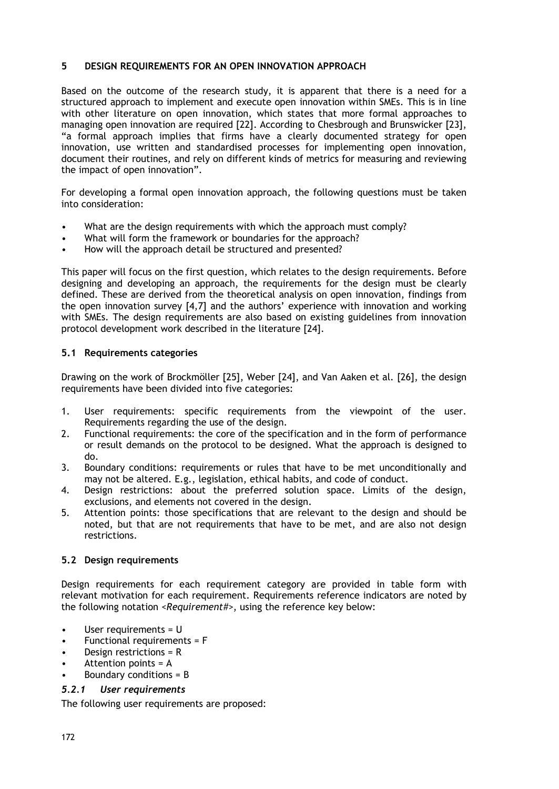## **5 DESIGN REQUIREMENTS FOR AN OPEN INNOVATION APPROACH**

Based on the outcome of the research study, it is apparent that there is a need for a structured approach to implement and execute open innovation within SMEs. This is in line with other literature on open innovation, which states that more formal approaches to managing open innovation are required [22]. According to Chesbrough and Brunswicker [23], "a formal approach implies that firms have a clearly documented strategy for open innovation, use written and standardised processes for implementing open innovation, document their routines, and rely on different kinds of metrics for measuring and reviewing the impact of open innovation".

For developing a formal open innovation approach, the following questions must be taken into consideration:

- What are the design requirements with which the approach must comply?
- What will form the framework or boundaries for the approach?
- How will the approach detail be structured and presented?

This paper will focus on the first question, which relates to the design requirements. Before designing and developing an approach, the requirements for the design must be clearly defined. These are derived from the theoretical analysis on open innovation, findings from the open innovation survey [4,7] and the authors' experience with innovation and working with SMEs. The design requirements are also based on existing guidelines from innovation protocol development work described in the literature [24].

## **5.1 Requirements categories**

Drawing on the work of Brockmöller [25], Weber [24], and Van Aaken et al. [26], the design requirements have been divided into five categories:

- 1. User requirements: specific requirements from the viewpoint of the user. Requirements regarding the use of the design.
- 2. Functional requirements: the core of the specification and in the form of performance or result demands on the protocol to be designed. What the approach is designed to do.
- 3. Boundary conditions: requirements or rules that have to be met unconditionally and may not be altered. E.g., legislation, ethical habits, and code of conduct.
- 4. Design restrictions: about the preferred solution space. Limits of the design, exclusions, and elements not covered in the design.
- 5. Attention points: those specifications that are relevant to the design and should be noted, but that are not requirements that have to be met, and are also not design restrictions.

# **5.2 Design requirements**

Design requirements for each requirement category are provided in table form with relevant motivation for each requirement. Requirements reference indicators are noted by the following notation *<Requirement#>*, using the reference key below:

- User requirements = U
- Functional requirements = F
- Design restrictions = R
- Attention points = A
- Boundary conditions  $=$  B

# *5.2.1 User requirements*

The following user requirements are proposed: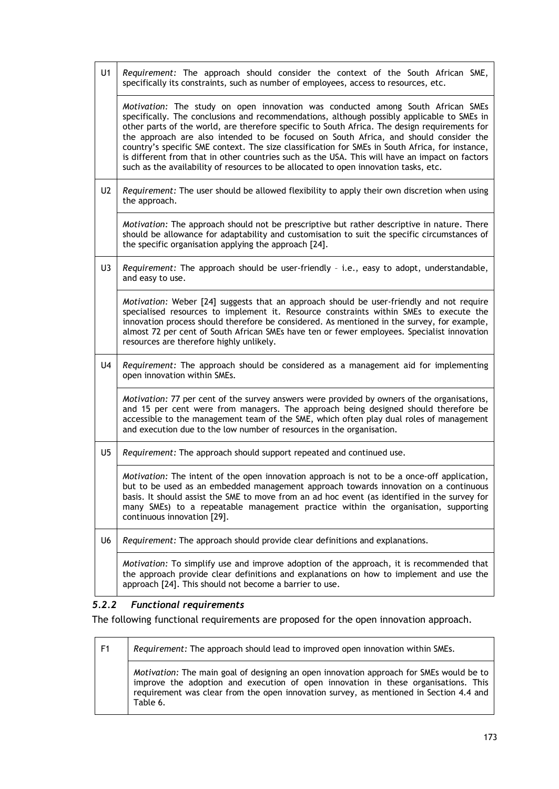| U <sub>1</sub> | Requirement: The approach should consider the context of the South African SME,<br>specifically its constraints, such as number of employees, access to resources, etc.                                                                                                                                                                                                                                                                                                                                                                                                                                                                                              |
|----------------|----------------------------------------------------------------------------------------------------------------------------------------------------------------------------------------------------------------------------------------------------------------------------------------------------------------------------------------------------------------------------------------------------------------------------------------------------------------------------------------------------------------------------------------------------------------------------------------------------------------------------------------------------------------------|
|                | Motivation: The study on open innovation was conducted among South African SMEs<br>specifically. The conclusions and recommendations, although possibly applicable to SMEs in<br>other parts of the world, are therefore specific to South Africa. The design requirements for<br>the approach are also intended to be focused on South Africa, and should consider the<br>country's specific SME context. The size classification for SMEs in South Africa, for instance,<br>is different from that in other countries such as the USA. This will have an impact on factors<br>such as the availability of resources to be allocated to open innovation tasks, etc. |
| U <sub>2</sub> | Requirement: The user should be allowed flexibility to apply their own discretion when using<br>the approach.                                                                                                                                                                                                                                                                                                                                                                                                                                                                                                                                                        |
|                | Motivation: The approach should not be prescriptive but rather descriptive in nature. There<br>should be allowance for adaptability and customisation to suit the specific circumstances of<br>the specific organisation applying the approach [24].                                                                                                                                                                                                                                                                                                                                                                                                                 |
| U3             | Requirement: The approach should be user-friendly - i.e., easy to adopt, understandable,<br>and easy to use.                                                                                                                                                                                                                                                                                                                                                                                                                                                                                                                                                         |
|                | Motivation: Weber [24] suggests that an approach should be user-friendly and not require<br>specialised resources to implement it. Resource constraints within SMEs to execute the<br>innovation process should therefore be considered. As mentioned in the survey, for example,<br>almost 72 per cent of South African SMEs have ten or fewer employees. Specialist innovation<br>resources are therefore highly unlikely.                                                                                                                                                                                                                                         |
| U <sub>4</sub> | Requirement: The approach should be considered as a management aid for implementing<br>open innovation within SMEs.                                                                                                                                                                                                                                                                                                                                                                                                                                                                                                                                                  |
|                | Motivation: 77 per cent of the survey answers were provided by owners of the organisations,<br>and 15 per cent were from managers. The approach being designed should therefore be<br>accessible to the management team of the SME, which often play dual roles of management<br>and execution due to the low number of resources in the organisation.                                                                                                                                                                                                                                                                                                               |
| U <sub>5</sub> | Requirement: The approach should support repeated and continued use.                                                                                                                                                                                                                                                                                                                                                                                                                                                                                                                                                                                                 |
|                | Motivation: The intent of the open innovation approach is not to be a once-off application,<br>but to be used as an embedded management approach towards innovation on a continuous<br>basis. It should assist the SME to move from an ad hoc event (as identified in the survey for<br>many SMEs) to a repeatable management practice within the organisation, supporting<br>continuous innovation [29].                                                                                                                                                                                                                                                            |
| U6             | Requirement: The approach should provide clear definitions and explanations.                                                                                                                                                                                                                                                                                                                                                                                                                                                                                                                                                                                         |
|                | Motivation: To simplify use and improve adoption of the approach, it is recommended that<br>the approach provide clear definitions and explanations on how to implement and use the<br>approach [24]. This should not become a barrier to use.                                                                                                                                                                                                                                                                                                                                                                                                                       |

# *5.2.2 Functional requirements*

The following functional requirements are proposed for the open innovation approach.

| F1 | Requirement: The approach should lead to improved open innovation within SMEs.                                                                                                                                                                                                      |
|----|-------------------------------------------------------------------------------------------------------------------------------------------------------------------------------------------------------------------------------------------------------------------------------------|
|    | Motivation: The main goal of designing an open innovation approach for SMEs would be to<br>improve the adoption and execution of open innovation in these organisations. This<br>requirement was clear from the open innovation survey, as mentioned in Section 4.4 and<br>Table 6. |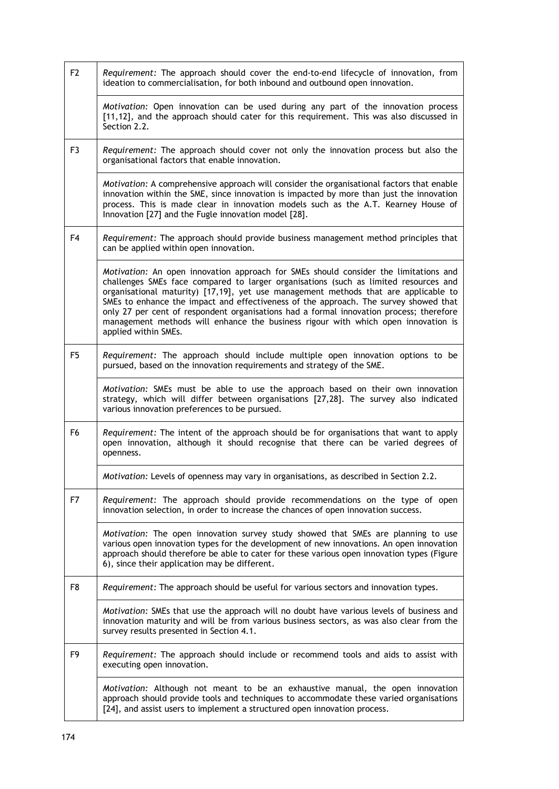| F <sub>2</sub> | Requirement: The approach should cover the end-to-end lifecycle of innovation, from<br>ideation to commercialisation, for both inbound and outbound open innovation.                                                                                                                                                                                                                                                                                                                                                                                                |
|----------------|---------------------------------------------------------------------------------------------------------------------------------------------------------------------------------------------------------------------------------------------------------------------------------------------------------------------------------------------------------------------------------------------------------------------------------------------------------------------------------------------------------------------------------------------------------------------|
|                | Motivation: Open innovation can be used during any part of the innovation process<br>[11,12], and the approach should cater for this requirement. This was also discussed in<br>Section 2.2.                                                                                                                                                                                                                                                                                                                                                                        |
| F3             | Requirement: The approach should cover not only the innovation process but also the<br>organisational factors that enable innovation.                                                                                                                                                                                                                                                                                                                                                                                                                               |
|                | <i>Motivation:</i> A comprehensive approach will consider the organisational factors that enable<br>innovation within the SME, since innovation is impacted by more than just the innovation<br>process. This is made clear in innovation models such as the A.T. Kearney House of<br>Innovation [27] and the Fugle innovation model [28].                                                                                                                                                                                                                          |
| F4             | Requirement: The approach should provide business management method principles that<br>can be applied within open innovation.                                                                                                                                                                                                                                                                                                                                                                                                                                       |
|                | Motivation: An open innovation approach for SMEs should consider the limitations and<br>challenges SMEs face compared to larger organisations (such as limited resources and<br>organisational maturity) [17,19], yet use management methods that are applicable to<br>SMEs to enhance the impact and effectiveness of the approach. The survey showed that<br>only 27 per cent of respondent organisations had a formal innovation process; therefore<br>management methods will enhance the business rigour with which open innovation is<br>applied within SMEs. |
| F5             | Requirement: The approach should include multiple open innovation options to be<br>pursued, based on the innovation requirements and strategy of the SME.                                                                                                                                                                                                                                                                                                                                                                                                           |
|                | Motivation: SMEs must be able to use the approach based on their own innovation<br>strategy, which will differ between organisations [27,28]. The survey also indicated<br>various innovation preferences to be pursued.                                                                                                                                                                                                                                                                                                                                            |
| F6             | Requirement: The intent of the approach should be for organisations that want to apply<br>open innovation, although it should recognise that there can be varied degrees of<br>openness.                                                                                                                                                                                                                                                                                                                                                                            |
|                | Motivation: Levels of openness may vary in organisations, as described in Section 2.2.                                                                                                                                                                                                                                                                                                                                                                                                                                                                              |
| F7             | Requirement: The approach should provide recommendations on the type of open<br>innovation selection, in order to increase the chances of open innovation success.                                                                                                                                                                                                                                                                                                                                                                                                  |
|                | Motivation: The open innovation survey study showed that SMEs are planning to use<br>various open innovation types for the development of new innovations. An open innovation<br>approach should therefore be able to cater for these various open innovation types (Figure<br>6), since their application may be different.                                                                                                                                                                                                                                        |
| F8             | Requirement: The approach should be useful for various sectors and innovation types.                                                                                                                                                                                                                                                                                                                                                                                                                                                                                |
|                | Motivation: SMEs that use the approach will no doubt have various levels of business and<br>innovation maturity and will be from various business sectors, as was also clear from the<br>survey results presented in Section 4.1.                                                                                                                                                                                                                                                                                                                                   |
| F9             | Requirement: The approach should include or recommend tools and aids to assist with<br>executing open innovation.                                                                                                                                                                                                                                                                                                                                                                                                                                                   |
|                | Motivation: Although not meant to be an exhaustive manual, the open innovation<br>approach should provide tools and techniques to accommodate these varied organisations<br>[24], and assist users to implement a structured open innovation process.                                                                                                                                                                                                                                                                                                               |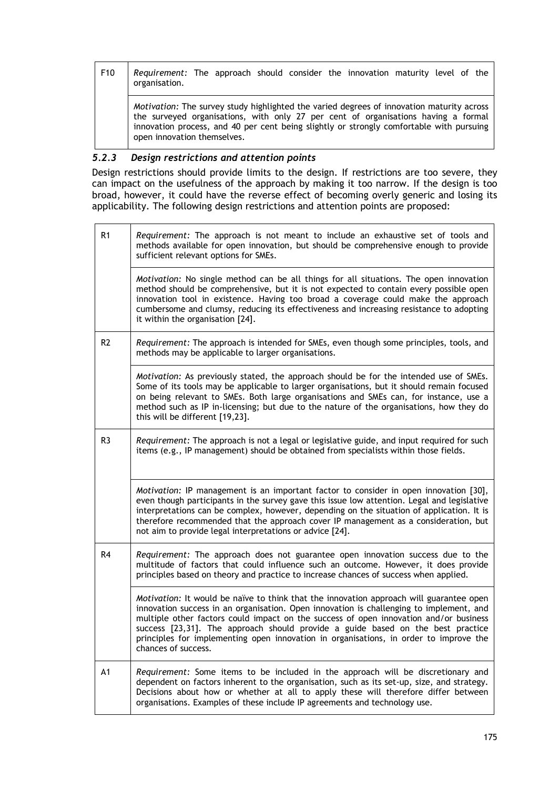| F10 | Requirement: The approach should consider the innovation maturity level of the<br>organisation.                                                                                                                                                                                                            |
|-----|------------------------------------------------------------------------------------------------------------------------------------------------------------------------------------------------------------------------------------------------------------------------------------------------------------|
|     | Motivation: The survey study highlighted the varied degrees of innovation maturity across<br>the surveyed organisations, with only 27 per cent of organisations having a formal<br>innovation process, and 40 per cent being slightly or strongly comfortable with pursuing<br>open innovation themselves. |

# *5.2.3 Design restrictions and attention points*

Design restrictions should provide limits to the design. If restrictions are too severe, they can impact on the usefulness of the approach by making it too narrow. If the design is too broad, however, it could have the reverse effect of becoming overly generic and losing its applicability. The following design restrictions and attention points are proposed:

| R1             | Requirement: The approach is not meant to include an exhaustive set of tools and<br>methods available for open innovation, but should be comprehensive enough to provide<br>sufficient relevant options for SMEs.                                                                                                                                                                                                                                                              |
|----------------|--------------------------------------------------------------------------------------------------------------------------------------------------------------------------------------------------------------------------------------------------------------------------------------------------------------------------------------------------------------------------------------------------------------------------------------------------------------------------------|
|                | Motivation: No single method can be all things for all situations. The open innovation<br>method should be comprehensive, but it is not expected to contain every possible open<br>innovation tool in existence. Having too broad a coverage could make the approach<br>cumbersome and clumsy, reducing its effectiveness and increasing resistance to adopting<br>it within the organisation [24].                                                                            |
| R <sub>2</sub> | Requirement: The approach is intended for SMEs, even though some principles, tools, and<br>methods may be applicable to larger organisations.                                                                                                                                                                                                                                                                                                                                  |
|                | Motivation: As previously stated, the approach should be for the intended use of SMEs.<br>Some of its tools may be applicable to larger organisations, but it should remain focused<br>on being relevant to SMEs. Both large organisations and SMEs can, for instance, use a<br>method such as IP in-licensing; but due to the nature of the organisations, how they do<br>this will be different [19,23].                                                                     |
| R <sub>3</sub> | Requirement: The approach is not a legal or legislative guide, and input required for such<br>items (e.g., IP management) should be obtained from specialists within those fields.                                                                                                                                                                                                                                                                                             |
|                | Motivation: IP management is an important factor to consider in open innovation [30],<br>even though participants in the survey gave this issue low attention. Legal and legislative<br>interpretations can be complex, however, depending on the situation of application. It is<br>therefore recommended that the approach cover IP management as a consideration, but<br>not aim to provide legal interpretations or advice [24].                                           |
| R <sub>4</sub> | <i>Requirement:</i> The approach does not guarantee open innovation success due to the<br>multitude of factors that could influence such an outcome. However, it does provide<br>principles based on theory and practice to increase chances of success when applied.                                                                                                                                                                                                          |
|                | Motivation: It would be naïve to think that the innovation approach will guarantee open<br>innovation success in an organisation. Open innovation is challenging to implement, and<br>multiple other factors could impact on the success of open innovation and/or business<br>success [23,31]. The approach should provide a guide based on the best practice<br>principles for implementing open innovation in organisations, in order to improve the<br>chances of success. |
| A1             | Requirement: Some items to be included in the approach will be discretionary and<br>dependent on factors inherent to the organisation, such as its set-up, size, and strategy.<br>Decisions about how or whether at all to apply these will therefore differ between<br>organisations. Examples of these include IP agreements and technology use.                                                                                                                             |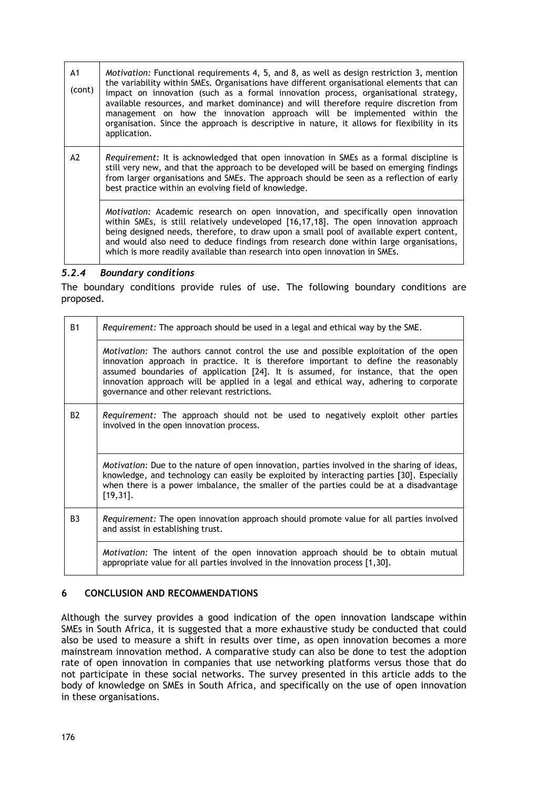| A <sub>1</sub><br>(cont) | <i>Motivation:</i> Functional requirements 4, 5, and 8, as well as design restriction 3, mention<br>the variability within SMEs. Organisations have different organisational elements that can<br>impact on innovation (such as a formal innovation process, organisational strategy,<br>available resources, and market dominance) and will therefore require discretion from<br>management on how the innovation approach will be implemented within the<br>organisation. Since the approach is descriptive in nature, it allows for flexibility in its<br>application. |
|--------------------------|---------------------------------------------------------------------------------------------------------------------------------------------------------------------------------------------------------------------------------------------------------------------------------------------------------------------------------------------------------------------------------------------------------------------------------------------------------------------------------------------------------------------------------------------------------------------------|
| A2                       | Requirement: It is acknowledged that open innovation in SMEs as a formal discipline is<br>still very new, and that the approach to be developed will be based on emerging findings<br>from larger organisations and SMEs. The approach should be seen as a reflection of early<br>best practice within an evolving field of knowledge.                                                                                                                                                                                                                                    |
|                          | Motivation: Academic research on open innovation, and specifically open innovation<br>within SMEs, is still relatively undeveloped [16,17,18]. The open innovation approach<br>being designed needs, therefore, to draw upon a small pool of available expert content,<br>and would also need to deduce findings from research done within large organisations,<br>which is more readily available than research into open innovation in SMEs.                                                                                                                            |

## *5.2.4 Boundary conditions*

The boundary conditions provide rules of use. The following boundary conditions are proposed.

| <b>B1</b>      | <i>Requirement:</i> The approach should be used in a legal and ethical way by the SME.                                                                                                                                                                                                                                                                                                                           |
|----------------|------------------------------------------------------------------------------------------------------------------------------------------------------------------------------------------------------------------------------------------------------------------------------------------------------------------------------------------------------------------------------------------------------------------|
|                | <i>Motivation:</i> The authors cannot control the use and possible exploitation of the open<br>innovation approach in practice. It is therefore important to define the reasonably<br>assumed boundaries of application [24]. It is assumed, for instance, that the open<br>innovation approach will be applied in a legal and ethical way, adhering to corporate<br>governance and other relevant restrictions. |
| <b>B2</b>      | Requirement: The approach should not be used to negatively exploit other parties<br>involved in the open innovation process.                                                                                                                                                                                                                                                                                     |
|                | Motivation: Due to the nature of open innovation, parties involved in the sharing of ideas,<br>knowledge, and technology can easily be exploited by interacting parties [30]. Especially<br>when there is a power imbalance, the smaller of the parties could be at a disadvantage<br>$[19, 31]$ .                                                                                                               |
| B <sub>3</sub> | Requirement: The open innovation approach should promote value for all parties involved<br>and assist in establishing trust.                                                                                                                                                                                                                                                                                     |
|                | Motivation: The intent of the open innovation approach should be to obtain mutual<br>appropriate value for all parties involved in the innovation process [1,30].                                                                                                                                                                                                                                                |

# **6 CONCLUSION AND RECOMMENDATIONS**

Although the survey provides a good indication of the open innovation landscape within SMEs in South Africa, it is suggested that a more exhaustive study be conducted that could also be used to measure a shift in results over time, as open innovation becomes a more mainstream innovation method. A comparative study can also be done to test the adoption rate of open innovation in companies that use networking platforms versus those that do not participate in these social networks. The survey presented in this article adds to the body of knowledge on SMEs in South Africa, and specifically on the use of open innovation in these organisations.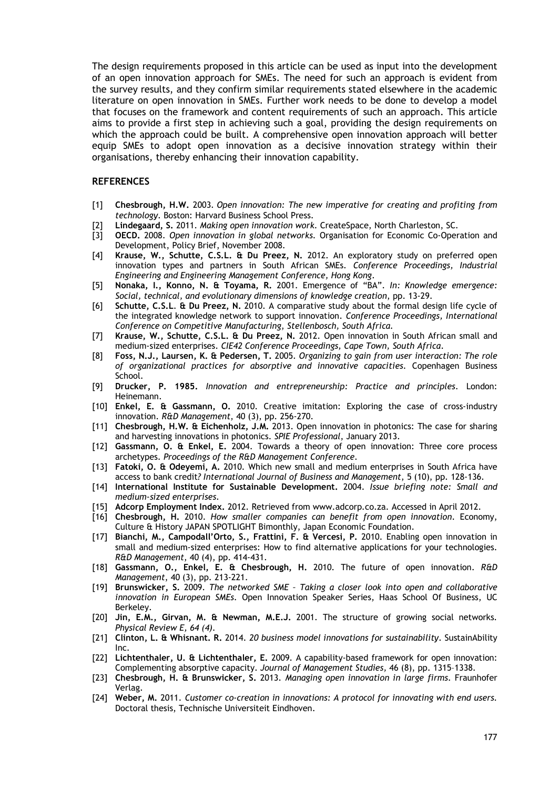The design requirements proposed in this article can be used as input into the development of an open innovation approach for SMEs. The need for such an approach is evident from the survey results, and they confirm similar requirements stated elsewhere in the academic literature on open innovation in SMEs. Further work needs to be done to develop a model that focuses on the framework and content requirements of such an approach. This article aims to provide a first step in achieving such a goal, providing the design requirements on which the approach could be built. A comprehensive open innovation approach will better equip SMEs to adopt open innovation as a decisive innovation strategy within their organisations, thereby enhancing their innovation capability.

#### **REFERENCES**

- [1] **Chesbrough, H.W.** 2003. *Open innovation: The new imperative for creating and profiting from technology*. Boston: Harvard Business School Press.
- [2] **Lindegaard, S.** 2011. *Making open innovation work*. CreateSpace, North Charleston, SC.
- [3] **OECD.** 2008. *Open innovation in global networks*. Organisation for Economic Co-Operation and Development, Policy Brief, November 2008.
- [4] **Krause, W., Schutte, C.S.L. & Du Preez, N.** 2012. An exploratory study on preferred open innovation types and partners in South African SMEs. *Conference Proceedings, Industrial Engineering and Engineering Management Conference, Hong Kong*.
- [5] **Nonaka, I., Konno, N. & Toyama, R.** 2001. Emergence of "BA". *In: Knowledge emergence: Social, technical, and evolutionary dimensions of knowledge creation*, pp. 13-29.
- [6] **Schutte, C.S.L**. **& Du Preez, N.** 2010. A comparative study about the formal design life cycle of the integrated knowledge network to support innovation. *Conference Proceedings, International Conference on Competitive Manufacturing*, *Stellenbosch, South Africa.*
- [7] **Krause, W., Schutte, C.S.L. & Du Preez, N.** 2012. Open innovation in South African small and medium-sized enterprises. *CIE42 Conference Proceedings, Cape Town, South Africa*.
- [8] **Foss, N.J., Laursen, K. & Pedersen, T.** 2005. *Organizing to gain from user interaction: The role of organizational practices for absorptive and innovative capacities*. Copenhagen Business School.
- [9] **Drucker, P. 1985.** *Innovation and entrepreneurship: Practice and principles*. London: Heinemann.
- [10] **Enkel, E. & Gassmann, O.** 2010. Creative imitation: Exploring the case of cross-industry innovation. *R&D Management*, 40 (3), pp. 256-270.
- [11] **Chesbrough, H.W. & Eichenholz, J.M.** 2013. Open innovation in photonics: The case for sharing and harvesting innovations in photonics. *SPIE Professional*, January 2013.
- [12] **Gassmann, O. & Enkel, E.** 2004. Towards a theory of open innovation: Three core process archetypes. *Proceedings of the R&D Management Conference*.
- [13] **Fatoki, O. & Odeyemi, A.** 2010. Which new small and medium enterprises in South Africa have access to bank credit*? International Journal of Business and Management*, 5 (10), pp. 128-136.
- [14] **International Institute for Sustainable Development.** 2004. *Issue briefing note: Small and medium-sized enterprises*.
- [15] **Adcorp Employment Index.** 2012. Retrieved from [www.adcorp.co.za.](http://www.adcorp.co.za/) Accessed in April 2012.
- [16] **Chesbrough, H.** 2010. *How smaller companies can benefit from open innovation*. Economy, Culture & History JAPAN SPOTLIGHT Bimonthly, Japan Economic Foundation.
- [17] **Bianchi, M., Campodall'Orto, S., Frattini, F. & Vercesi, P.** 2010. Enabling open innovation in small and medium-sized enterprises: How to find alternative applications for your technologies. *R&D Management*, 40 (4), pp. 414-431.
- [18] **Gassmann, O., Enkel, E. & Chesbrough, H.** 2010. The future of open innovation. *R&D Management*, 40 (3), pp. 213-221.
- [19] **Brunswicker, S.** 2009. *The networked SME – Taking a closer look into open and collaborative innovation in European SMEs*. Open Innovation Speaker Series, Haas School Of Business, UC Berkeley.
- [20] **Jin, E.M., Girvan, M. & Newman, M.E.J.** 2001. The structure of growing social networks*. Physical Review E, 64 (4).*
- [21] **Clinton, L. & Whisnant. R.** 2014. *20 business model innovations for sustainability*. SustainAbility Inc.
- [22] **Lichtenthaler, U. & Lichtenthaler, E.** 2009. A capability-based framework for open innovation: Complementing absorptive capacity. *Journal of Management Studies,* 46 (8), pp. 1315–1338.
- [23] **Chesbrough, H. & Brunswicker, S.** 2013. *Managing open innovation in large firms*. Fraunhofer Verlag.
- [24] **Weber, M.** 2011. *Customer co-creation in innovations: A protocol for innovating with end users.* Doctoral thesis, Technische Universiteit Eindhoven.